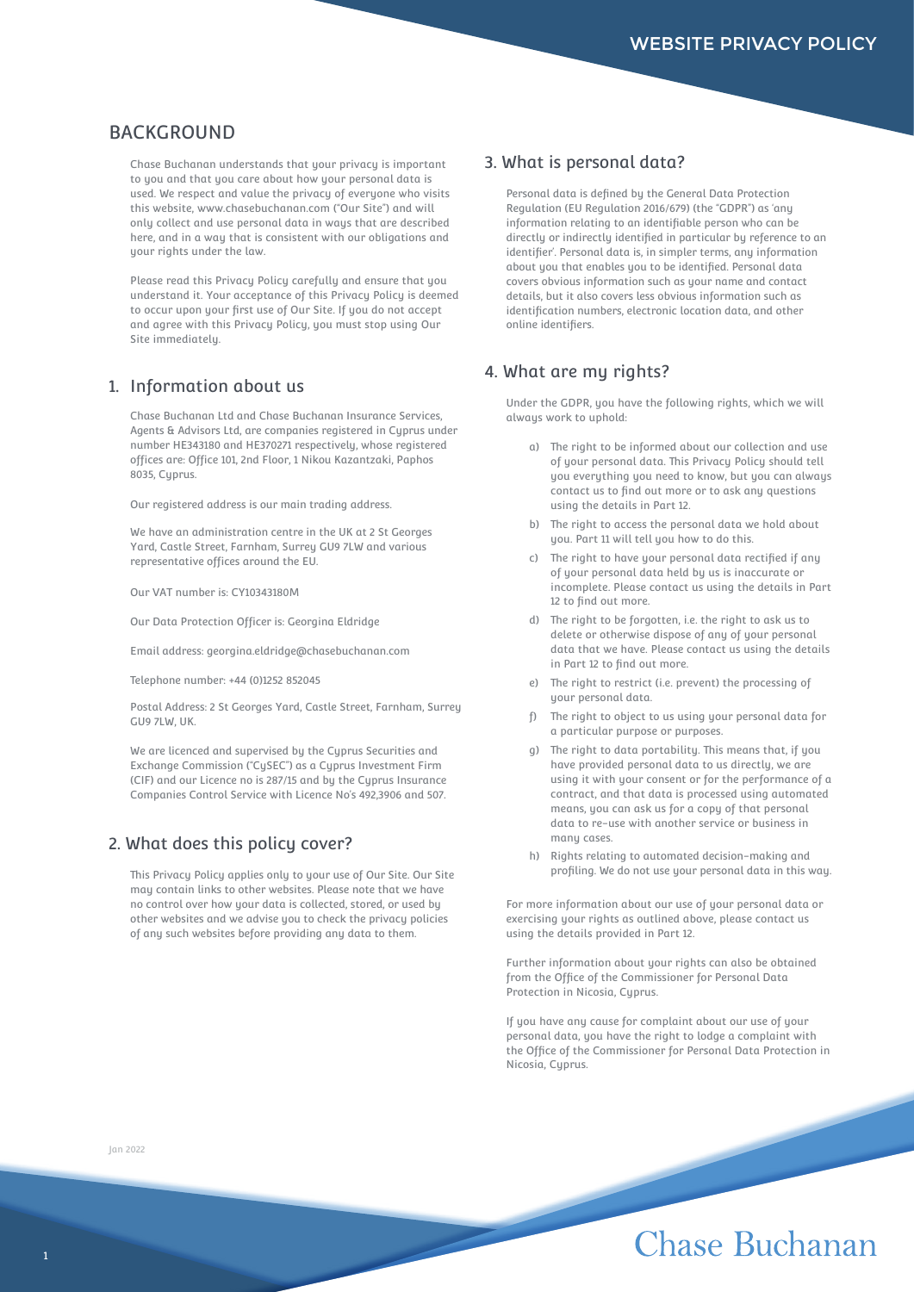## **BACKGROUND**

Chase Buchanan understands that your privacy is important to you and that you care about how your personal data is used. We respect and value the privacy of everyone who visits this website, www.chasebuchanan.com ("Our Site") and will only collect and use personal data in ways that are described here, and in a way that is consistent with our obligations and uour rights under the law.

Please read this Privacy Policy carefully and ensure that you understand it. Your acceptance of this Privacy Policy is deemed to occur upon your first use of Our Site. If you do not accept and agree with this Privacy Policy, you must stop using Our Site immediately.

### 1. Information about us

Chase Buchanan Ltd and Chase Buchanan Insurance Services, Agents & Advisors Ltd, are companies registered in Cyprus under number HE343180 and HE370271 respectively, whose registered offices are: Office 101, 2nd Floor, 1 Nikou Kazantzaki, Paphos 8035, Cyprus.

Our registered address is our main trading address.

We have an administration centre in the UK at 2 St Georges Yard, Castle Street, Farnham, Surrey GU9 7LW and various representative offices around the EU.

Our VAT number is: CY10343180M

Our Data Protection Officer is: Georgina Eldridge

Email address: georgina.eldridge@chasebuchanan.com

Telephone number: +44 (0)1252 852045

Postal Address: 2 St Georges Yard, Castle Street, Farnham, Surrey GU9 7LW, UK.

We are licenced and supervised by the Cyprus Securities and Exchange Commission ("CySEC") as a Cyprus Investment Firm (CIF) and our Licence no is 287/15 and by the Cyprus Insurance Companies Control Service with Licence No's 492,3906 and 507.

## 2. What does this policy cover?

This Privacy Policy applies only to your use of Our Site. Our Site may contain links to other websites. Please note that we have no control over how your data is collected, stored, or used by other websites and we advise you to check the privacy policies of any such websites before providing any data to them.

#### 3. What is personal data?

Personal data is defined by the General Data Protection Regulation (EU Regulation 2016/679) (the "GDPR") as 'any information relating to an identifiable person who can be directly or indirectly identified in particular by reference to an identifier'. Personal data is, in simpler terms, any information about you that enables you to be identified. Personal data covers obvious information such as your name and contact details, but it also covers less obvious information such as identification numbers, electronic location data, and other online identifiers.

## 4. What are my rights?

Under the GDPR, you have the following rights, which we will always work to uphold:

- a) The right to be informed about our collection and use of your personal data. This Privacy Policy should tell you everything you need to know, but you can always contact us to find out more or to ask any questions using the details in Part 12.
- b) The right to access the personal data we hold about you. Part 11 will tell you how to do this.
- c) The right to have your personal data rectified if any of your personal data held by us is inaccurate or incomplete. Please contact us using the details in Part 12 to find out more.
- d) The right to be forgotten, i.e. the right to ask us to delete or otherwise dispose of any of your personal data that we have. Please contact us using the details in Part 12 to find out more.
- e) The right to restrict (i.e. prevent) the processing of your personal data.
- f) The right to object to us using your personal data for a particular purpose or purposes.
- g) The right to data portability. This means that, if you have provided personal data to us directly, we are using it with your consent or for the performance of a contract, and that data is processed using automated means, you can ask us for a copy of that personal data to re-use with another service or business in many cases.
- h) Rights relating to automated decision-making and profiling. We do not use your personal data in this way.

For more information about our use of your personal data or exercising your rights as outlined above, please contact us using the details provided in Part 12.

Further information about your rights can also be obtained from the Office of the Commissioner for Personal Data Protection in Nicosia, Cyprus.

If you have any cause for complaint about our use of your personal data, you have the right to lodge a complaint with the Office of the Commissioner for Personal Data Protection in Nicosia, Cyprus.

#### Jan 2022

## Chase Buchanan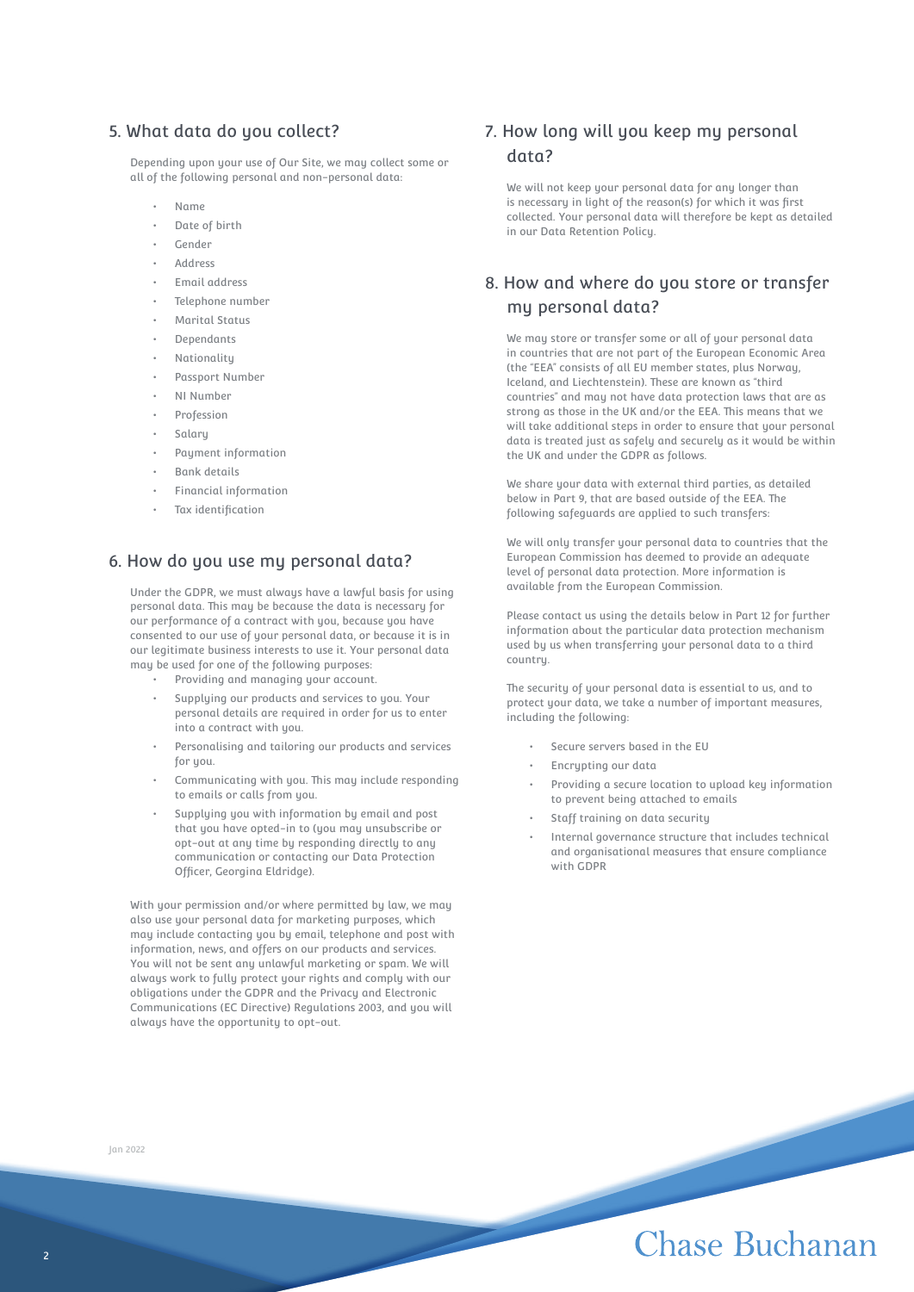## 5. What data do you collect?

Depending upon your use of Our Site, we may collect some or all of the following personal and non-personal data:

- Name
- Date of birth
- Gender
- Address
- Email address
- Telephone number
- Marital Status
- Dependants
- **Nationality**
- Passport Number
- NI Number
- Profession
- Salary
- Payment information
- Bank details
- Financial information
- Tax identification

### 6. How do you use my personal data?

Under the GDPR, we must always have a lawful basis for using personal data. This may be because the data is necessary for our performance of a contract with you, because you have consented to our use of your personal data, or because it is in our legitimate business interests to use it. Your personal data may be used for one of the following purposes:

- Providing and managing your account.
- Supplying our products and services to you. Your personal details are required in order for us to enter into a contract with you.
- Personalising and tailoring our products and services for you.
- Communicating with you. This may include responding to emails or calls from you.
- Supplying you with information by email and post that you have opted-in to (you may unsubscribe or opt-out at any time by responding directly to any communication or contacting our Data Protection Officer, Georgina Eldridge).

With your permission and/or where permitted by law, we may also use your personal data for marketing purposes, which may include contacting you by email, telephone and post with information, news, and offers on our products and services. You will not be sent any unlawful marketing or spam. We will always work to fully protect your rights and comply with our obligations under the GDPR and the Privacy and Electronic Communications (EC Directive) Regulations 2003, and you will always have the opportunity to opt-out.

Jan 2022

## 7. How long will you keep my personal data?

We will not keep your personal data for any longer than is necessary in light of the reason(s) for which it was first collected. Your personal data will therefore be kept as detailed in our Data Retention Policy.

## 8. How and where do you store or transfer my personal data?

We may store or transfer some or all of your personal data in countries that are not part of the European Economic Area (the "EEA" consists of all EU member states, plus Norway, Iceland, and Liechtenstein). These are known as "third countries" and may not have data protection laws that are as strong as those in the UK and/or the EEA. This means that we will take additional steps in order to ensure that your personal data is treated just as safely and securely as it would be within the UK and under the GDPR as follows.

We share your data with external third parties, as detailed below in Part 9, that are based outside of the EEA. The following safeguards are applied to such transfers:

We will only transfer your personal data to countries that the European Commission has deemed to provide an adequate level of personal data protection. More information is available from the European Commission.

Please contact us using the details below in Part 12 for further information about the particular data protection mechanism used by us when transferring your personal data to a third country.

The security of your personal data is essential to us, and to protect your data, we take a number of important measures, including the following:

- Secure servers based in the EU
- Encrypting our data
- Providing a secure location to upload key information to prevent being attached to emails
- Staff training on data security
- Internal governance structure that includes technical and organisational measures that ensure compliance with GDPR

## Chase Buchanan